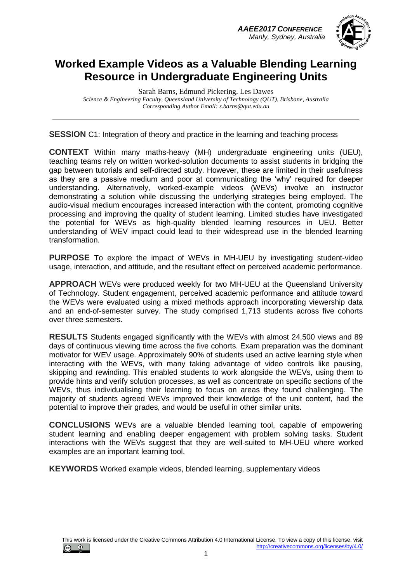*AAEE2017 CONFERENCE Manly, Sydney, Australia*



### **Worked Example Videos as a Valuable Blending Learning Resource in Undergraduate Engineering Units**

Sarah Barns, Edmund Pickering, Les Dawes *Science & Engineering Faculty, Queensland University of Technology (QUT), Brisbane, Australia Corresponding Author Email: s.barns@qut.edu.au*

**SESSION** C1: Integration of theory and practice in the learning and teaching process

**CONTEXT** Within many maths-heavy (MH) undergraduate engineering units (UEU), teaching teams rely on written worked-solution documents to assist students in bridging the gap between tutorials and self-directed study. However, these are limited in their usefulness as they are a passive medium and poor at communicating the 'why' required for deeper understanding. Alternatively, worked-example videos (WEVs) involve an instructor demonstrating a solution while discussing the underlying strategies being employed. The audio-visual medium encourages increased interaction with the content, promoting cognitive processing and improving the quality of student learning. Limited studies have investigated the potential for WEVs as high-quality blended learning resources in UEU. Better understanding of WEV impact could lead to their widespread use in the blended learning transformation.

**PURPOSE** To explore the impact of WEVs in MH-UEU by investigating student-video usage, interaction, and attitude, and the resultant effect on perceived academic performance.

**APPROACH** WEVs were produced weekly for two MH-UEU at the Queensland University of Technology. Student engagement, perceived academic performance and attitude toward the WEVs were evaluated using a mixed methods approach incorporating viewership data and an end-of-semester survey. The study comprised 1,713 students across five cohorts over three semesters.

**RESULTS** Students engaged significantly with the WEVs with almost 24,500 views and 89 days of continuous viewing time across the five cohorts. Exam preparation was the dominant motivator for WEV usage. Approximately 90% of students used an active learning style when interacting with the WEVs, with many taking advantage of video controls like pausing, skipping and rewinding. This enabled students to work alongside the WEVs, using them to provide hints and verify solution processes, as well as concentrate on specific sections of the WEVs, thus individualising their learning to focus on areas they found challenging. The majority of students agreed WEVs improved their knowledge of the unit content, had the potential to improve their grades, and would be useful in other similar units.

**CONCLUSIONS** WEVs are a valuable blended learning tool, capable of empowering student learning and enabling deeper engagement with problem solving tasks. Student interactions with the WEVs suggest that they are well-suited to MH-UEU where worked examples are an important learning tool.

**KEYWORDS** Worked example videos, blended learning, supplementary videos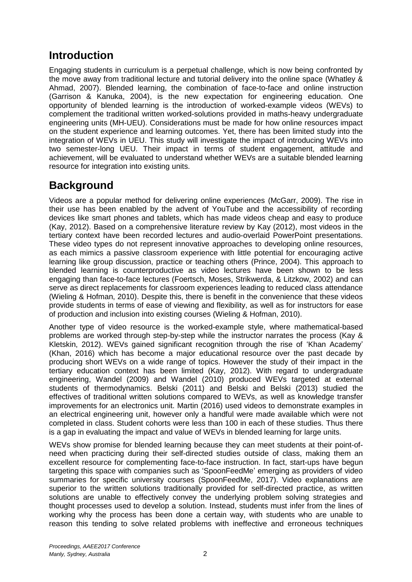## **Introduction**

Engaging students in curriculum is a perpetual challenge, which is now being confronted by the move away from traditional lecture and tutorial delivery into the online space (Whatley & Ahmad, 2007). Blended learning, the combination of face-to-face and online instruction (Garrison & Kanuka, 2004), is the new expectation for engineering education. One opportunity of blended learning is the introduction of worked-example videos (WEVs) to complement the traditional written worked-solutions provided in maths-heavy undergraduate engineering units (MH-UEU). Considerations must be made for how online resources impact on the student experience and learning outcomes. Yet, there has been limited study into the integration of WEVs in UEU. This study will investigate the impact of introducing WEVs into two semester-long UEU. Their impact in terms of student engagement, attitude and achievement, will be evaluated to understand whether WEVs are a suitable blended learning resource for integration into existing units.

## **Background**

Videos are a popular method for delivering online experiences (McGarr, 2009). The rise in their use has been enabled by the advent of YouTube and the accessibility of recording devices like smart phones and tablets, which has made videos cheap and easy to produce (Kay, 2012). Based on a comprehensive literature review by Kay (2012), most videos in the tertiary context have been recorded lectures and audio-overlaid PowerPoint presentations. These video types do not represent innovative approaches to developing online resources, as each mimics a passive classroom experience with little potential for encouraging active learning like group discussion, practice or teaching others (Prince, 2004). This approach to blended learning is counterproductive as video lectures have been shown to be less engaging than face-to-face lectures (Foertsch, Moses, Strikwerda, & Litzkow, 2002) and can serve as direct replacements for classroom experiences leading to reduced class attendance (Wieling & Hofman, 2010). Despite this, there is benefit in the convenience that these videos provide students in terms of ease of viewing and flexibility, as well as for instructors for ease of production and inclusion into existing courses (Wieling & Hofman, 2010).

Another type of video resource is the worked-example style, where mathematical-based problems are worked through step-by-step while the instructor narrates the process (Kay & Kletskin, 2012). WEVs gained significant recognition through the rise of 'Khan Academy' (Khan, 2016) which has become a major educational resource over the past decade by producing short WEVs on a wide range of topics. However the study of their impact in the tertiary education context has been limited (Kay, 2012). With regard to undergraduate engineering, Wandel (2009) and Wandel (2010) produced WEVs targeted at external students of thermodynamics. Belski (2011) and Belski and Belski (2013) studied the effectives of traditional written solutions compared to WEVs, as well as knowledge transfer improvements for an electronics unit. Martin (2016) used videos to demonstrate examples in an electrical engineering unit, however only a handful were made available which were not completed in class. Student cohorts were less than 100 in each of these studies. Thus there is a gap in evaluating the impact and value of WEVs in blended learning for large units.

WEVs show promise for blended learning because they can meet students at their point-ofneed when practicing during their self-directed studies outside of class, making them an excellent resource for complementing face-to-face instruction. In fact, start-ups have begun targeting this space with companies such as 'SpoonFeedMe' emerging as providers of video summaries for specific university courses (SpoonFeedMe, 2017). Video explanations are superior to the written solutions traditionally provided for self-directed practice, as written solutions are unable to effectively convey the underlying problem solving strategies and thought processes used to develop a solution. Instead, students must infer from the lines of working why the process has been done a certain way, with students who are unable to reason this tending to solve related problems with ineffective and erroneous techniques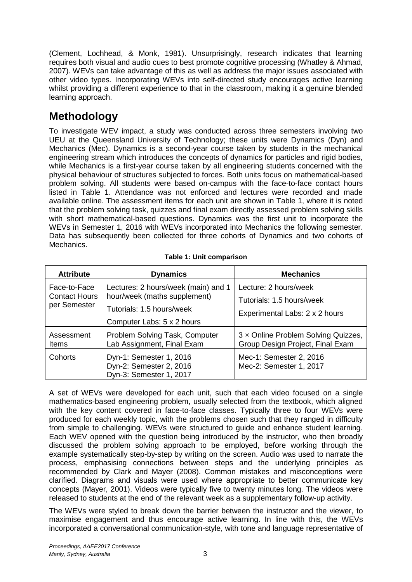(Clement, Lochhead, & Monk, 1981). Unsurprisingly, research indicates that learning requires both visual and audio cues to best promote cognitive processing (Whatley & Ahmad, 2007). WEVs can take advantage of this as well as address the major issues associated with other video types. Incorporating WEVs into self-directed study encourages active learning whilst providing a different experience to that in the classroom, making it a genuine blended learning approach.

# **Methodology**

To investigate WEV impact, a study was conducted across three semesters involving two UEU at the Queensland University of Technology; these units were Dynamics (Dyn) and Mechanics (Mec). Dynamics is a second-year course taken by students in the mechanical engineering stream which introduces the concepts of dynamics for particles and rigid bodies, while Mechanics is a first-year course taken by all engineering students concerned with the physical behaviour of structures subjected to forces. Both units focus on mathematical-based problem solving. All students were based on-campus with the face-to-face contact hours listed in [Table 1.](#page-2-0) Attendance was not enforced and lectures were recorded and made available online. The assessment items for each unit are shown in [Table 1,](#page-2-0) where it is noted that the problem solving task, quizzes and final exam directly assessed problem solving skills with short mathematical-based questions. Dynamics was the first unit to incorporate the WEVs in Semester 1, 2016 with WEVs incorporated into Mechanics the following semester. Data has subsequently been collected for three cohorts of Dynamics and two cohorts of Mechanics.

<span id="page-2-0"></span>

| <b>Attribute</b>                                     | <b>Dynamics</b>                                                                                                                | <b>Mechanics</b>                                                                     |
|------------------------------------------------------|--------------------------------------------------------------------------------------------------------------------------------|--------------------------------------------------------------------------------------|
| Face-to-Face<br><b>Contact Hours</b><br>per Semester | Lectures: 2 hours/week (main) and 1<br>hour/week (maths supplement)<br>Tutorials: 1.5 hours/week<br>Computer Labs: 5 x 2 hours | Lecture: 2 hours/week<br>Tutorials: 1.5 hours/week<br>Experimental Labs: 2 x 2 hours |
| Assessment<br>Items                                  | Problem Solving Task, Computer<br>Lab Assignment, Final Exam                                                                   | 3 x Online Problem Solving Quizzes,<br>Group Design Project, Final Exam              |
| Cohorts                                              | Dyn-1: Semester 1, 2016<br>Dyn-2: Semester 2, 2016<br>Dyn-3: Semester 1, 2017                                                  | Mec-1: Semester 2, 2016<br>Mec-2: Semester 1, 2017                                   |

|  | Table 1: Unit comparison |
|--|--------------------------|
|--|--------------------------|

A set of WEVs were developed for each unit, such that each video focused on a single mathematics-based engineering problem, usually selected from the textbook, which aligned with the key content covered in face-to-face classes. Typically three to four WEVs were produced for each weekly topic, with the problems chosen such that they ranged in difficulty from simple to challenging. WEVs were structured to guide and enhance student learning. Each WEV opened with the question being introduced by the instructor, who then broadly discussed the problem solving approach to be employed, before working through the example systematically step-by-step by writing on the screen. Audio was used to narrate the process, emphasising connections between steps and the underlying principles as recommended by Clark and Mayer (2008). Common mistakes and misconceptions were clarified. Diagrams and visuals were used where appropriate to better communicate key concepts (Mayer, 2001). Videos were typically five to twenty minutes long. The videos were released to students at the end of the relevant week as a supplementary follow-up activity.

The WEVs were styled to break down the barrier between the instructor and the viewer, to maximise engagement and thus encourage active learning. In line with this, the WEVs incorporated a conversational communication-style, with tone and language representative of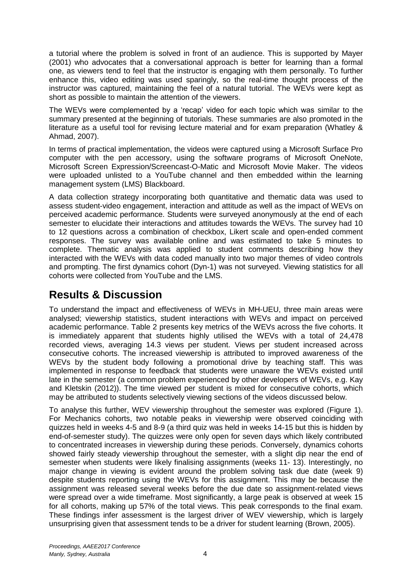a tutorial where the problem is solved in front of an audience. This is supported by Mayer (2001) who advocates that a conversational approach is better for learning than a formal one, as viewers tend to feel that the instructor is engaging with them personally. To further enhance this, video editing was used sparingly, so the real-time thought process of the instructor was captured, maintaining the feel of a natural tutorial. The WEVs were kept as short as possible to maintain the attention of the viewers.

The WEVs were complemented by a 'recap' video for each topic which was similar to the summary presented at the beginning of tutorials. These summaries are also promoted in the literature as a useful tool for revising lecture material and for exam preparation (Whatley & Ahmad, 2007).

In terms of practical implementation, the videos were captured using a Microsoft Surface Pro computer with the pen accessory, using the software programs of Microsoft OneNote, Microsoft Screen Expression/Screencast-O-Matic and Microsoft Movie Maker. The videos were uploaded unlisted to a YouTube channel and then embedded within the learning management system (LMS) Blackboard.

A data collection strategy incorporating both quantitative and thematic data was used to assess student-video engagement, interaction and attitude as well as the impact of WEVs on perceived academic performance. Students were surveyed anonymously at the end of each semester to elucidate their interactions and attitudes towards the WEVs. The survey had 10 to 12 questions across a combination of checkbox, Likert scale and open-ended comment responses. The survey was available online and was estimated to take 5 minutes to complete. Thematic analysis was applied to student comments describing how they interacted with the WEVs with data coded manually into two major themes of video controls and prompting. The first dynamics cohort (Dyn-1) was not surveyed. Viewing statistics for all cohorts were collected from YouTube and the LMS.

# **Results & Discussion**

To understand the impact and effectiveness of WEVs in MH-UEU, three main areas were analysed; viewership statistics, student interactions with WEVs and impact on perceived academic performance. [Table 2](#page-4-0) presents key metrics of the WEVs across the five cohorts. It is immediately apparent that students highly utilised the WEVs with a total of 24,478 recorded views, averaging 14.3 views per student. Views per student increased across consecutive cohorts. The increased viewership is attributed to improved awareness of the WEVs by the student body following a promotional drive by teaching staff. This was implemented in response to feedback that students were unaware the WEVs existed until late in the semester (a common problem experienced by other developers of WEVs, e.g. Kay and Kletskin (2012)). The time viewed per student is mixed for consecutive cohorts, which may be attributed to students selectively viewing sections of the videos discussed below.

To analyse this further, WEV viewership throughout the semester was explored [\(Figure 1\)](#page-4-1). For Mechanics cohorts, two notable peaks in viewership were observed coinciding with quizzes held in weeks 4-5 and 8-9 (a third quiz was held in weeks 14-15 but this is hidden by end-of-semester study). The quizzes were only open for seven days which likely contributed to concentrated increases in viewership during these periods. Conversely, dynamics cohorts showed fairly steady viewership throughout the semester, with a slight dip near the end of semester when students were likely finalising assignments (weeks 11- 13). Interestingly, no major change in viewing is evident around the problem solving task due date (week 9) despite students reporting using the WEVs for this assignment. This may be because the assignment was released several weeks before the due date so assignment-related views were spread over a wide timeframe. Most significantly, a large peak is observed at week 15 for all cohorts, making up 57% of the total views. This peak corresponds to the final exam. These findings infer assessment is the largest driver of WEV viewership, which is largely unsurprising given that assessment tends to be a driver for student learning (Brown, 2005).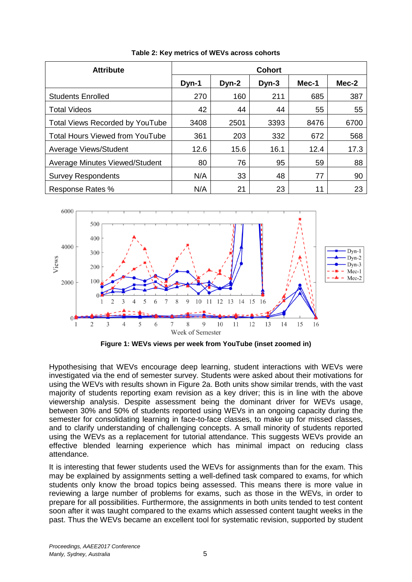<span id="page-4-0"></span>

| <b>Attribute</b>                       | <b>Cohort</b> |       |         |       |       |  |
|----------------------------------------|---------------|-------|---------|-------|-------|--|
|                                        | Dyn-1         | Dyn-2 | $Dyn-3$ | Mec-1 | Mec-2 |  |
| <b>Students Enrolled</b>               | 270           | 160   | 211     | 685   | 387   |  |
| <b>Total Videos</b>                    | 42            | 44    | 44      | 55    | 55    |  |
| <b>Total Views Recorded by YouTube</b> | 3408          | 2501  | 3393    | 8476  | 6700  |  |
| <b>Total Hours Viewed from YouTube</b> | 361           | 203   | 332     | 672   | 568   |  |
| Average Views/Student                  | 12.6          | 15.6  | 16.1    | 12.4  | 17.3  |  |
| Average Minutes Viewed/Student         | 80            | 76    | 95      | 59    | 88    |  |
| <b>Survey Respondents</b>              | N/A           | 33    | 48      | 77    | 90    |  |
| Response Rates %                       | N/A           | 21    | 23      | 11    | 23    |  |

**Table 2: Key metrics of WEVs across cohorts**



**Figure 1: WEVs views per week from YouTube (inset zoomed in)**

<span id="page-4-1"></span>Hypothesising that WEVs encourage deep learning, student interactions with WEVs were investigated via the end of semester survey. Students were asked about their motivations for using the WEVs with results shown in [Figure 2a](#page-5-0). Both units show similar trends, with the vast majority of students reporting exam revision as a key driver; this is in line with the above viewership analysis. Despite assessment being the dominant driver for WEVs usage, between 30% and 50% of students reported using WEVs in an ongoing capacity during the semester for consolidating learning in face-to-face classes, to make up for missed classes, and to clarify understanding of challenging concepts. A small minority of students reported using the WEVs as a replacement for tutorial attendance. This suggests WEVs provide an effective blended learning experience which has minimal impact on reducing class attendance.

It is interesting that fewer students used the WEVs for assignments than for the exam. This may be explained by assignments setting a well-defined task compared to exams, for which students only know the broad topics being assessed. This means there is more value in reviewing a large number of problems for exams, such as those in the WEVs, in order to prepare for all possibilities. Furthermore, the assignments in both units tended to test content soon after it was taught compared to the exams which assessed content taught weeks in the past. Thus the WEVs became an excellent tool for systematic revision, supported by student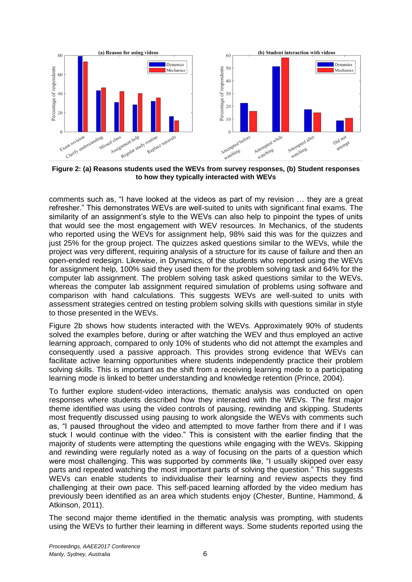

<span id="page-5-0"></span>**Figure 2: (a) Reasons students used the WEVs from survey responses, (b) Student responses to how they typically interacted with WEVs**

comments such as, "I have looked at the videos as part of my revision … they are a great refresher." This demonstrates WEVs are well-suited to units with significant final exams. The similarity of an assignment's style to the WEVs can also help to pinpoint the types of units that would see the most engagement with WEV resources. In Mechanics, of the students who reported using the WEVs for assignment help, 98% said this was for the quizzes and just 25% for the group project. The quizzes asked questions similar to the WEVs, while the project was very different, requiring analysis of a structure for its cause of failure and then an open-ended redesign. Likewise, in Dynamics, of the students who reported using the WEVs for assignment help, 100% said they used them for the problem solving task and 64% for the computer lab assignment. The problem solving task asked questions similar to the WEVs, whereas the computer lab assignment required simulation of problems using software and comparison with hand calculations. This suggests WEVs are well-suited to units with assessment strategies centred on testing problem solving skills with questions similar in style to those presented in the WEVs.

[Figure 2b](#page-5-0) shows how students interacted with the WEVs. Approximately 90% of students solved the examples before, during or after watching the WEV and thus employed an active learning approach, compared to only 10% of students who did not attempt the examples and consequently used a passive approach. This provides strong evidence that WEVs can facilitate active learning opportunities where students independently practice their problem solving skills. This is important as the shift from a receiving learning mode to a participating learning mode is linked to better understanding and knowledge retention (Prince, 2004).

To further explore student-video interactions, thematic analysis was conducted on open responses where students described how they interacted with the WEVs. The first major theme identified was using the video controls of pausing, rewinding and skipping. Students most frequently discussed using pausing to work alongside the WEVs with comments such as, "I paused throughout the video and attempted to move farther from there and if I was stuck I would continue with the video." This is consistent with the earlier finding that the majority of students were attempting the questions while engaging with the WEVs. Skipping and rewinding were regularly noted as a way of focusing on the parts of a question which were most challenging. This was supported by comments like, "I usually skipped over easy parts and repeated watching the most important parts of solving the question." This suggests WEVs can enable students to individualise their learning and review aspects they find challenging at their own pace. This self-paced learning afforded by the video medium has previously been identified as an area which students enjoy (Chester, Buntine, Hammond, & Atkinson, 2011).

The second major theme identified in the thematic analysis was prompting, with students using the WEVs to further their learning in different ways. Some students reported using the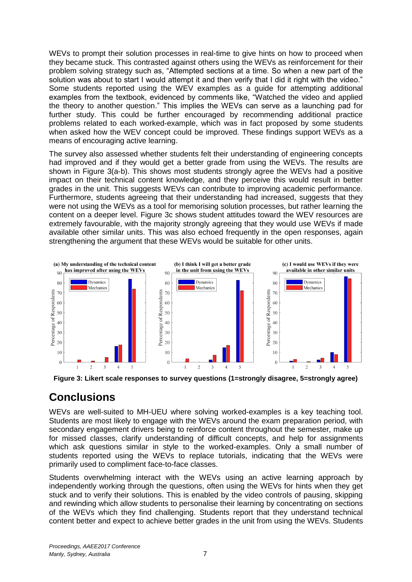WEVs to prompt their solution processes in real-time to give hints on how to proceed when they became stuck. This contrasted against others using the WEVs as reinforcement for their problem solving strategy such as, "Attempted sections at a time. So when a new part of the solution was about to start I would attempt it and then verify that I did it right with the video." Some students reported using the WEV examples as a guide for attempting additional examples from the textbook, evidenced by comments like, "Watched the video and applied the theory to another question." This implies the WEVs can serve as a launching pad for further study. This could be further encouraged by recommending additional practice problems related to each worked-example, which was in fact proposed by some students when asked how the WEV concept could be improved. These findings support WEVs as a means of encouraging active learning.

The survey also assessed whether students felt their understanding of engineering concepts had improved and if they would get a better grade from using the WEVs. The results are shown in [Figure 3\(](#page-6-0)a-b). This shows most students strongly agree the WEVs had a positive impact on their technical content knowledge, and they perceive this would result in better grades in the unit. This suggests WEVs can contribute to improving academic performance. Furthermore, students agreeing that their understanding had increased, suggests that they were not using the WEVs as a tool for memorising solution processes, but rather learning the content on a deeper level. [Figure 3c](#page-6-0) shows student attitudes toward the WEV resources are extremely favourable, with the majority strongly agreeing that they would use WEVs if made available other similar units. This was also echoed frequently in the open responses, again strengthening the argument that these WEVs would be suitable for other units.



<span id="page-6-0"></span>**Figure 3: Likert scale responses to survey questions (1=strongly disagree, 5=strongly agree)**

### **Conclusions**

WEVs are well-suited to MH-UEU where solving worked-examples is a key teaching tool. Students are most likely to engage with the WEVs around the exam preparation period, with secondary engagement drivers being to reinforce content throughout the semester, make up for missed classes, clarify understanding of difficult concepts, and help for assignments which ask questions similar in style to the worked-examples. Only a small number of students reported using the WEVs to replace tutorials, indicating that the WEVs were primarily used to compliment face-to-face classes.

Students overwhelming interact with the WEVs using an active learning approach by independently working through the questions, often using the WEVs for hints when they get stuck and to verify their solutions. This is enabled by the video controls of pausing, skipping and rewinding which allow students to personalise their learning by concentrating on sections of the WEVs which they find challenging. Students report that they understand technical content better and expect to achieve better grades in the unit from using the WEVs. Students